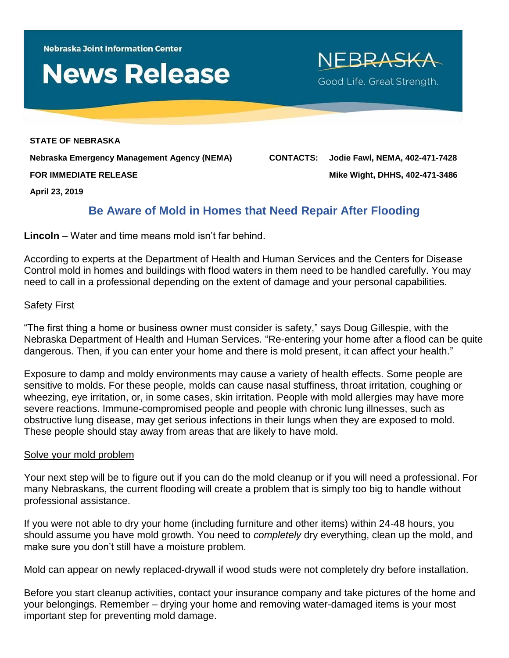**Nebraska Joint Information Center** 

# **News Release**

**STATE OF NEBRASKA Nebraska Emergency Management Agency (NEMA) CONTACTS: Jodie Fawl, NEMA, 402-471-7428 FOR IMMEDIATE RELEASE Mike Wight, DHHS, 402-471-3486**

NEBRASKA

Good Life. Great Strength.

**April 23, 2019**

## **Be Aware of Mold in Homes that Need Repair After Flooding**

**Lincoln** – Water and time means mold isn't far behind.

According to experts at the Department of Health and Human Services and the Centers for Disease Control mold in homes and buildings with flood waters in them need to be handled carefully. You may need to call in a professional depending on the extent of damage and your personal capabilities.

#### Safety First

"The first thing a home or business owner must consider is safety," says Doug Gillespie, with the Nebraska Department of Health and Human Services. "Re-entering your home after a flood can be quite dangerous. Then, if you can enter your home and there is mold present, it can affect your health."

Exposure to damp and moldy environments may cause a variety of health effects. Some people are sensitive to molds. For these people, molds can cause nasal stuffiness, throat irritation, coughing or wheezing, eye irritation, or, in some cases, skin irritation. People with mold allergies may have more severe reactions. Immune-compromised people and people with chronic lung illnesses, such as obstructive lung disease, may get serious infections in their lungs when they are exposed to mold. These people should stay away from areas that are likely to have mold.

#### Solve your mold problem

Your next step will be to figure out if you can do the mold cleanup or if you will need a professional. For many Nebraskans, the current flooding will create a problem that is simply too big to handle without professional assistance.

If you were not able to dry your home (including furniture and other items) within 24-48 hours, you should assume you have mold growth. You need to *completely* dry everything, clean up the mold, and make sure you don't still have a moisture problem.

Mold can appear on newly replaced-drywall if wood studs were not completely dry before installation.

Before you start cleanup activities, contact your insurance company and take pictures of the home and your belongings. Remember – drying your home and removing water-damaged items is your most important step for preventing mold damage.